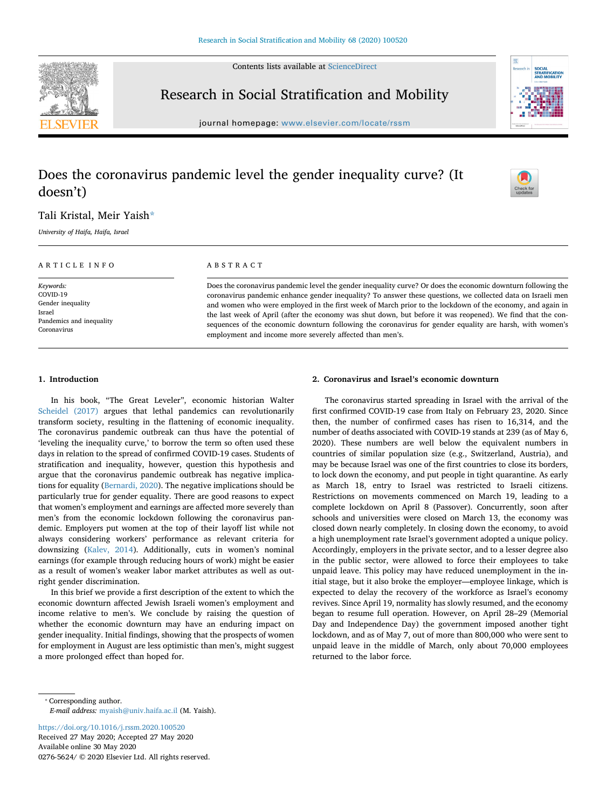Contents lists available at [ScienceDirect](http://www.sciencedirect.com/science/journal/02765624)



### Research in Social Stratification and Mobility



journal homepage: [www.elsevier.com/locate/rssm](https://www.elsevier.com/locate/rssm)

## Does the coronavirus pandemic level the gender inequality curve? (It doesn't)

# $\frac{N}{2}$

#### Tali Kristal, Meir Yaish[\\*](#page-0-0)

*University of Haifa, Haifa, Israel*

| ARTICLE INFO             | ABSTRACT                                                                                                     |
|--------------------------|--------------------------------------------------------------------------------------------------------------|
| Keywords:                | Does the coronavirus pandemic level the gender inequality curve? Or does the economic downturn following the |
| COVID-19                 | coronavirus pandemic enhance gender inequality? To answer these questions, we collected data on Israeli men  |
| Gender inequality        | and women who were employed in the first week of March prior to the lockdown of the economy, and again in    |
| Israel                   | the last week of April (after the economy was shut down, but before it was reopened). We find that the con-  |
| Pandemics and inequality | sequences of the economic downturn following the coronavirus for gender equality are harsh, with women's     |
| Coronavirus              | employment and income more severely affected than men's.                                                     |

#### **1. Introduction**

In his book, "The Great Leveler", economic historian Walter [Scheidel \(2017\)](#page-4-0) argues that lethal pandemics can revolutionarily transform society, resulting in the flattening of economic inequality. The coronavirus pandemic outbreak can thus have the potential of 'leveling the inequality curve,' to borrow the term so often used these days in relation to the spread of confirmed COVID-19 cases. Students of stratification and inequality, however, question this hypothesis and argue that the coronavirus pandemic outbreak has negative implications for equality [\(Bernardi, 2020](#page-4-1)). The negative implications should be particularly true for gender equality. There are good reasons to expect that women's employment and earnings are affected more severely than men's from the economic lockdown following the coronavirus pandemic. Employers put women at the top of their layoff list while not always considering workers' performance as relevant criteria for downsizing ([Kalev, 2014\)](#page-4-2). Additionally, cuts in women's nominal earnings (for example through reducing hours of work) might be easier as a result of women's weaker labor market attributes as well as outright gender discrimination.

In this brief we provide a first description of the extent to which the economic downturn affected Jewish Israeli women's employment and income relative to men's. We conclude by raising the question of whether the economic downturn may have an enduring impact on gender inequality. Initial findings, showing that the prospects of women for employment in August are less optimistic than men's, might suggest a more prolonged effect than hoped for.

#### **2. Coronavirus and Israel's economic downturn**

The coronavirus started spreading in Israel with the arrival of the first confirmed COVID-19 case from Italy on February 23, 2020. Since then, the number of confirmed cases has risen to 16,314, and the number of deaths associated with COVID-19 stands at 239 (as of May 6, 2020). These numbers are well below the equivalent numbers in countries of similar population size (e.g., Switzerland, Austria), and may be because Israel was one of the first countries to close its borders, to lock down the economy, and put people in tight quarantine. As early as March 18, entry to Israel was restricted to Israeli citizens. Restrictions on movements commenced on March 19, leading to a complete lockdown on April 8 (Passover). Concurrently, soon after schools and universities were closed on March 13, the economy was closed down nearly completely. In closing down the economy, to avoid a high unemployment rate Israel's government adopted a unique policy. Accordingly, employers in the private sector, and to a lesser degree also in the public sector, were allowed to force their employees to take unpaid leave. This policy may have reduced unemployment in the initial stage, but it also broke the employer—employee linkage, which is expected to delay the recovery of the workforce as Israel's economy revives. Since April 19, normality has slowly resumed, and the economy began to resume full operation. However, on April 28–29 (Memorial Day and Independence Day) the government imposed another tight lockdown, and as of May 7, out of more than 800,000 who were sent to unpaid leave in the middle of March, only about 70,000 employees returned to the labor force.

<span id="page-0-0"></span>⁎ Corresponding author. *E-mail address:* [myaish@univ.haifa.ac.il](mailto:myaish@univ.haifa.ac.il) (M. Yaish).

<https://doi.org/10.1016/j.rssm.2020.100520> Received 27 May 2020; Accepted 27 May 2020 Available online 30 May 2020 0276-5624/ © 2020 Elsevier Ltd. All rights reserved.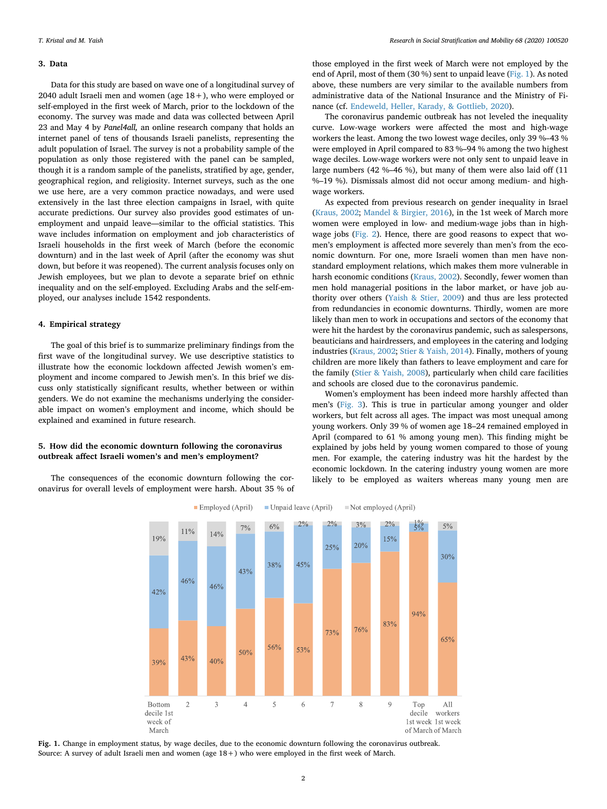#### **3. Data**

Data for this study are based on wave one of a longitudinal survey of 2040 adult Israeli men and women (age 18+), who were employed or self-employed in the first week of March, prior to the lockdown of the economy. The survey was made and data was collected between April 23 and May 4 by *Panel4all,* an online research company that holds an internet panel of tens of thousands Israeli panelists, representing the adult population of Israel. The survey is not a probability sample of the population as only those registered with the panel can be sampled, though it is a random sample of the panelists, stratified by age, gender, geographical region, and religiosity. Internet surveys, such as the one we use here, are a very common practice nowadays, and were used extensively in the last three election campaigns in Israel, with quite accurate predictions. Our survey also provides good estimates of unemployment and unpaid leave—similar to the official statistics. This wave includes information on employment and job characteristics of Israeli households in the first week of March (before the economic downturn) and in the last week of April (after the economy was shut down, but before it was reopened). The current analysis focuses only on Jewish employees, but we plan to devote a separate brief on ethnic inequality and on the self-employed. Excluding Arabs and the self-employed, our analyses include 1542 respondents.

#### **4. Empirical strategy**

The goal of this brief is to summarize preliminary findings from the first wave of the longitudinal survey. We use descriptive statistics to illustrate how the economic lockdown affected Jewish women's employment and income compared to Jewish men's. In this brief we discuss only statistically significant results, whether between or within genders. We do not examine the mechanisms underlying the considerable impact on women's employment and income, which should be explained and examined in future research.

#### **5. How did the economic downturn following the coronavirus outbreak affect Israeli women's and men's employment?**

<span id="page-1-0"></span>The consequences of the economic downturn following the coronavirus for overall levels of employment were harsh. About 35 % of

those employed in the first week of March were not employed by the end of April, most of them (30 %) sent to unpaid leave ([Fig. 1](#page-1-0)). As noted above, these numbers are very similar to the available numbers from administrative data of the National Insurance and the Ministry of Finance (cf. [Endeweld, Heller, Karady, & Gottlieb, 2020](#page-4-3)).

The coronavirus pandemic outbreak has not leveled the inequality curve. Low-wage workers were affected the most and high-wage workers the least. Among the two lowest wage deciles, only 39 %–43 % were employed in April compared to 83 %–94 % among the two highest wage deciles. Low-wage workers were not only sent to unpaid leave in large numbers (42 %–46 %), but many of them were also laid off (11 %–19 %). Dismissals almost did not occur among medium- and highwage workers.

As expected from previous research on gender inequality in Israel ([Kraus, 2002](#page-4-4); [Mandel & Birgier, 2016\)](#page-4-5), in the 1st week of March more women were employed in low- and medium-wage jobs than in highwage jobs ([Fig. 2](#page-2-0)). Hence, there are good reasons to expect that women's employment is affected more severely than men's from the economic downturn. For one, more Israeli women than men have nonstandard employment relations, which makes them more vulnerable in harsh economic conditions [\(Kraus, 2002](#page-4-4)). Secondly, fewer women than men hold managerial positions in the labor market, or have job authority over others [\(Yaish & Stier, 2009\)](#page-4-6) and thus are less protected from redundancies in economic downturns. Thirdly, women are more likely than men to work in occupations and sectors of the economy that were hit the hardest by the coronavirus pandemic, such as salespersons, beauticians and hairdressers, and employees in the catering and lodging industries [\(Kraus, 2002](#page-4-4); [Stier & Yaish, 2014](#page-4-7)). Finally, mothers of young children are more likely than fathers to leave employment and care for the family [\(Stier & Yaish, 2008](#page-4-8)), particularly when child care facilities and schools are closed due to the coronavirus pandemic.

Women's employment has been indeed more harshly affected than men's ([Fig. 3\)](#page-2-1). This is true in particular among younger and older workers, but felt across all ages. The impact was most unequal among young workers. Only 39 % of women age 18–24 remained employed in April (compared to 61 % among young men). This finding might be explained by jobs held by young women compared to those of young men. For example, the catering industry was hit the hardest by the economic lockdown. In the catering industry young women are more likely to be employed as waiters whereas many young men are



**Fig. 1.** Change in employment status, by wage deciles, due to the economic downturn following the coronavirus outbreak. Source: A survey of adult Israeli men and women (age 18+) who were employed in the first week of March.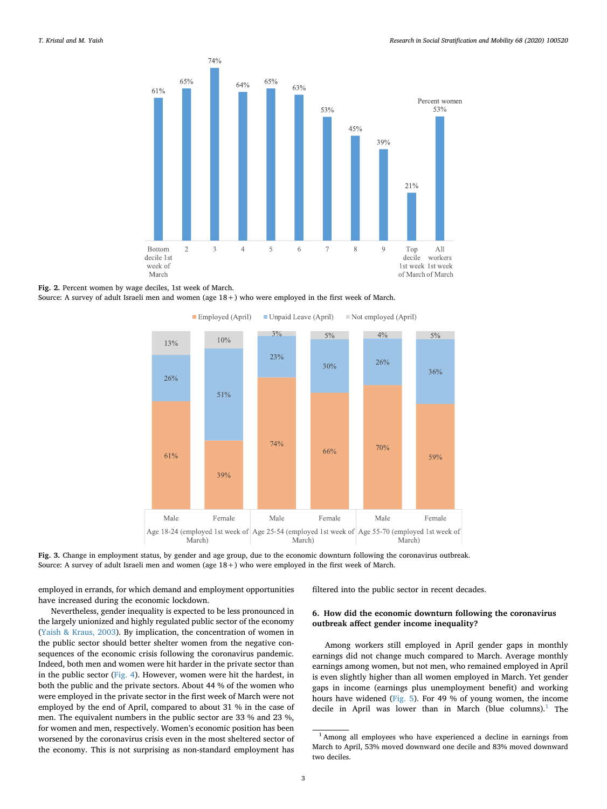<span id="page-2-0"></span>

#### **Fig. 2.** Percent women by wage deciles, 1st week of March.

<span id="page-2-1"></span>Source: A survey of adult Israeli men and women (age 18+) who were employed in the first week of March.



**Fig. 3.** Change in employment status, by gender and age group, due to the economic downturn following the coronavirus outbreak. Source: A survey of adult Israeli men and women (age 18+) who were employed in the first week of March.

employed in errands, for which demand and employment opportunities have increased during the economic lockdown.

filtered into the public sector in recent decades.

Nevertheless, gender inequality is expected to be less pronounced in the largely unionized and highly regulated public sector of the economy ([Yaish & Kraus, 2003\)](#page-4-9). By implication, the concentration of women in the public sector should better shelter women from the negative consequences of the economic crisis following the coronavirus pandemic. Indeed, both men and women were hit harder in the private sector than in the public sector [\(Fig. 4](#page-3-0)). However, women were hit the hardest, in both the public and the private sectors. About 44 % of the women who were employed in the private sector in the first week of March were not employed by the end of April, compared to about 31 % in the case of men. The equivalent numbers in the public sector are 33 % and 23 %, for women and men, respectively. Women's economic position has been worsened by the coronavirus crisis even in the most sheltered sector of the economy. This is not surprising as non-standard employment has

#### **6. How did the economic downturn following the coronavirus outbreak affect gender income inequality?**

Among workers still employed in April gender gaps in monthly earnings did not change much compared to March. Average monthly earnings among women, but not men, who remained employed in April is even slightly higher than all women employed in March. Yet gender gaps in income (earnings plus unemployment benefit) and working hours have widened [\(Fig. 5](#page-3-1)). For 49 % of young women, the income decile in April was lower than in March (blue columns).<sup>1</sup> The

<span id="page-2-2"></span><sup>1</sup> Among all employees who have experienced a decline in earnings from March to April, 53% moved downward one decile and 83% moved downward two deciles.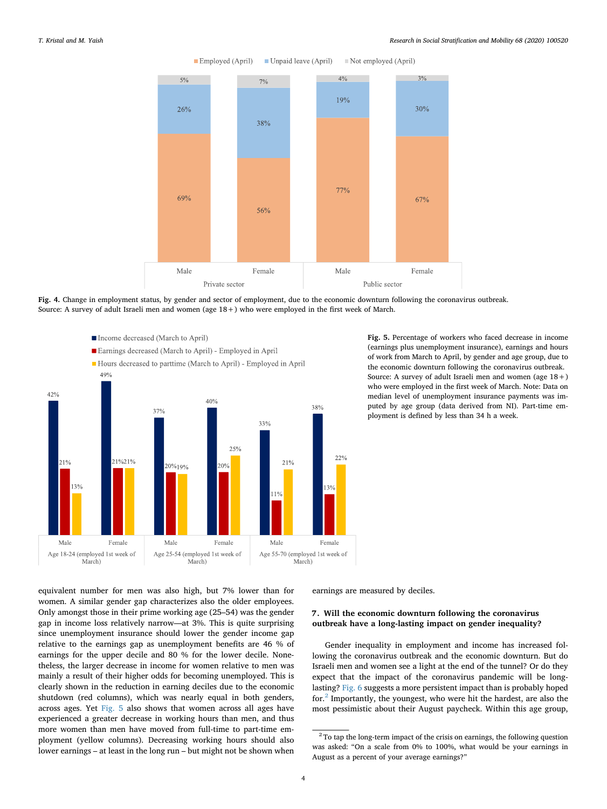#### <span id="page-3-0"></span>*T. Kristal and M. Yaish Research in Social Stratification and Mobility 68 (2020) 100520*



Unpaid leave (April) Employed (April) Not employed (April)

**Fig. 4.** Change in employment status, by gender and sector of employment, due to the economic downturn following the coronavirus outbreak. Source: A survey of adult Israeli men and women (age 18+) who were employed in the first week of March.

<span id="page-3-1"></span>

**Fig. 5.** Percentage of workers who faced decrease in income (earnings plus unemployment insurance), earnings and hours of work from March to April, by gender and age group, due to the economic downturn following the coronavirus outbreak. Source: A survey of adult Israeli men and women (age 18+) who were employed in the first week of March. Note: Data on median level of unemployment insurance payments was imputed by age group (data derived from NI). Part-time employment is defined by less than 34 h a week.

equivalent number for men was also high, but 7% lower than for women. A similar gender gap characterizes also the older employees. Only amongst those in their prime working age (25–54) was the gender gap in income loss relatively narrow—at 3%. This is quite surprising since unemployment insurance should lower the gender income gap relative to the earnings gap as unemployment benefits are 46 % of earnings for the upper decile and 80 % for the lower decile. Nonetheless, the larger decrease in income for women relative to men was mainly a result of their higher odds for becoming unemployed. This is clearly shown in the reduction in earning deciles due to the economic shutdown (red columns), which was nearly equal in both genders, across ages. Yet [Fig. 5](#page-3-1) also shows that women across all ages have experienced a greater decrease in working hours than men, and thus more women than men have moved from full-time to part-time employment (yellow columns). Decreasing working hours should also lower earnings – at least in the long run – but might not be shown when earnings are measured by deciles.

#### **7. Will the economic downturn following the coronavirus outbreak have a long-lasting impact on gender inequality?**

Gender inequality in employment and income has increased following the coronavirus outbreak and the economic downturn. But do Israeli men and women see a light at the end of the tunnel? Or do they expect that the impact of the coronavirus pandemic will be longlasting? [Fig. 6](#page-4-10) suggests a more persistent impact than is probably hoped for.[2](#page-3-2) Importantly, the youngest, who were hit the hardest, are also the most pessimistic about their August paycheck. Within this age group,

<span id="page-3-2"></span> $^{\rm 2}$  To tap the long-term impact of the crisis on earnings, the following question was asked: "On a scale from 0% to 100%, what would be your earnings in August as a percent of your average earnings?"